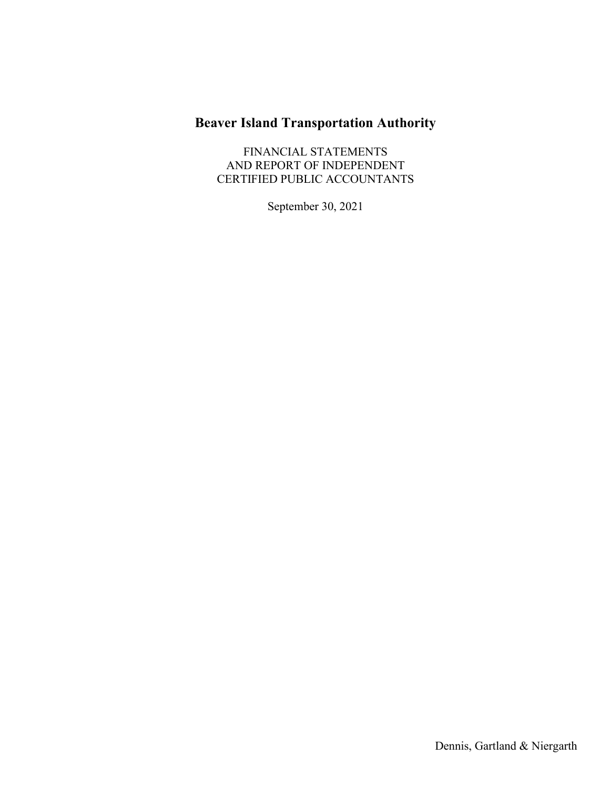FINANCIAL STATEMENTS AND REPORT OF INDEPENDENT CERTIFIED PUBLIC ACCOUNTANTS

September 30, 2021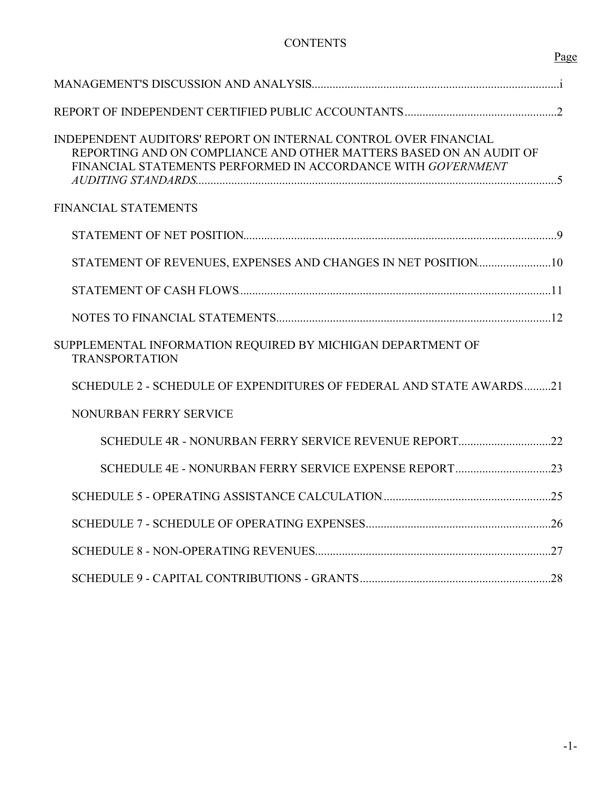### **CONTENTS**

| INDEPENDENT AUDITORS' REPORT ON INTERNAL CONTROL OVER FINANCIAL<br>REPORTING AND ON COMPLIANCE AND OTHER MATTERS BASED ON AN AUDIT OF<br>FINANCIAL STATEMENTS PERFORMED IN ACCORDANCE WITH GOVERNMENT |
|-------------------------------------------------------------------------------------------------------------------------------------------------------------------------------------------------------|
| FINANCIAL STATEMENTS                                                                                                                                                                                  |
|                                                                                                                                                                                                       |
| STATEMENT OF REVENUES, EXPENSES AND CHANGES IN NET POSITION10                                                                                                                                         |
|                                                                                                                                                                                                       |
|                                                                                                                                                                                                       |
| SUPPLEMENTAL INFORMATION REQUIRED BY MICHIGAN DEPARTMENT OF<br><b>TRANSPORTATION</b>                                                                                                                  |
| SCHEDULE 2 - SCHEDULE OF EXPENDITURES OF FEDERAL AND STATE AWARDS21                                                                                                                                   |
| NONURBAN FERRY SERVICE                                                                                                                                                                                |
| SCHEDULE 4R - NONURBAN FERRY SERVICE REVENUE REPORT22                                                                                                                                                 |
| SCHEDULE 4E - NONURBAN FERRY SERVICE EXPENSE REPORT23                                                                                                                                                 |
|                                                                                                                                                                                                       |
|                                                                                                                                                                                                       |
|                                                                                                                                                                                                       |
|                                                                                                                                                                                                       |

Page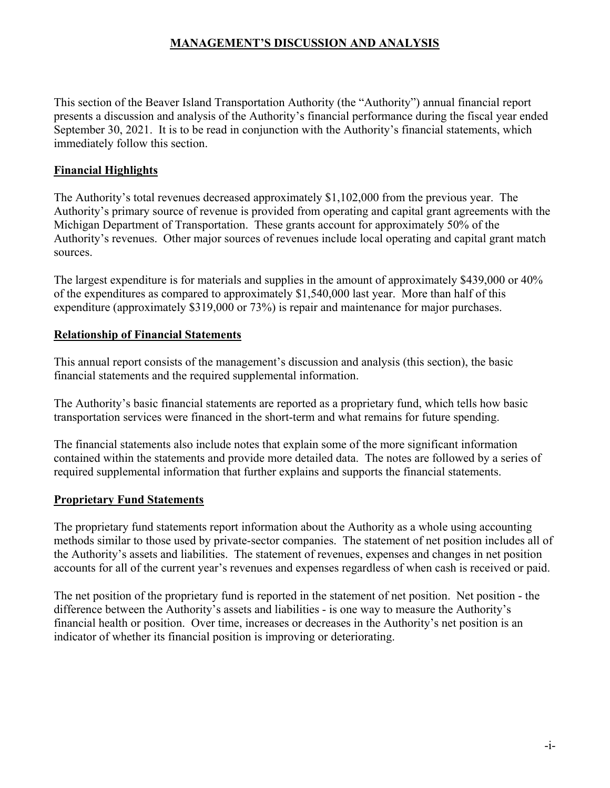### **MANAGEMENT'S DISCUSSION AND ANALYSIS**

This section of the Beaver Island Transportation Authority (the "Authority") annual financial report presents a discussion and analysis of the Authority's financial performance during the fiscal year ended September 30, 2021. It is to be read in conjunction with the Authority's financial statements, which immediately follow this section.

### **Financial Highlights**

The Authority's total revenues decreased approximately \$1,102,000 from the previous year. The Authority's primary source of revenue is provided from operating and capital grant agreements with the Michigan Department of Transportation. These grants account for approximately 50% of the Authority's revenues. Other major sources of revenues include local operating and capital grant match sources.

The largest expenditure is for materials and supplies in the amount of approximately \$439,000 or 40% of the expenditures as compared to approximately \$1,540,000 last year. More than half of this expenditure (approximately \$319,000 or 73%) is repair and maintenance for major purchases.

### **Relationship of Financial Statements**

This annual report consists of the management's discussion and analysis (this section), the basic financial statements and the required supplemental information.

The Authority's basic financial statements are reported as a proprietary fund, which tells how basic transportation services were financed in the short-term and what remains for future spending.

The financial statements also include notes that explain some of the more significant information contained within the statements and provide more detailed data. The notes are followed by a series of required supplemental information that further explains and supports the financial statements.

## **Proprietary Fund Statements**

The proprietary fund statements report information about the Authority as a whole using accounting methods similar to those used by private-sector companies. The statement of net position includes all of the Authority's assets and liabilities. The statement of revenues, expenses and changes in net position accounts for all of the current year's revenues and expenses regardless of when cash is received or paid.

The net position of the proprietary fund is reported in the statement of net position. Net position - the difference between the Authority's assets and liabilities - is one way to measure the Authority's financial health or position. Over time, increases or decreases in the Authority's net position is an indicator of whether its financial position is improving or deteriorating.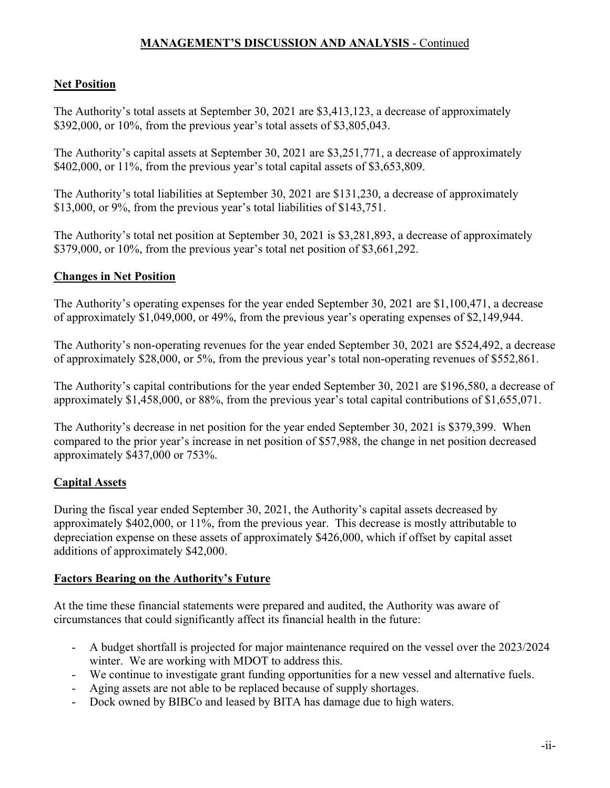## **MANAGEMENT'S DISCUSSION AND ANALYSIS** - Continued

### **Net Position**

The Authority's total assets at September 30, 2021 are \$3,413,123, a decrease of approximately \$392,000, or 10%, from the previous year's total assets of \$3,805,043.

The Authority's capital assets at September 30, 2021 are \$3,251,771, a decrease of approximately \$402,000, or 11%, from the previous year's total capital assets of \$3,653,809.

The Authority's total liabilities at September 30, 2021 are \$131,230, a decrease of approximately \$13,000, or 9%, from the previous year's total liabilities of \$143,751.

The Authority's total net position at September 30, 2021 is \$3,281,893, a decrease of approximately \$379,000, or 10%, from the previous year's total net position of \$3,661,292.

#### **Changes in Net Position**

The Authority's operating expenses for the year ended September 30, 2021 are \$1,100,471, a decrease of approximately \$1,049,000, or 49%, from the previous year's operating expenses of \$2,149,944.

The Authority's non-operating revenues for the year ended September 30, 2021 are \$524,492, a decrease of approximately \$28,000, or 5%, from the previous year's total non-operating revenues of \$552,861.

The Authority's capital contributions for the year ended September 30, 2021 are \$196,580, a decrease of approximately \$1,458,000, or 88%, from the previous year's total capital contributions of \$1,655,071.

The Authority's decrease in net position for the year ended September 30, 2021 is \$379,399. When compared to the prior year's increase in net position of \$57,988, the change in net position decreased approximately \$437,000 or 753%.

## **Capital Assets**

During the fiscal year ended September 30, 2021, the Authority's capital assets decreased by approximately \$402,000, or 11%, from the previous year. This decrease is mostly attributable to depreciation expense on these assets of approximately \$426,000, which if offset by capital asset additions of approximately \$42,000.

#### **Factors Bearing on the Authority's Future**

At the time these financial statements were prepared and audited, the Authority was aware of circumstances that could significantly affect its financial health in the future:

- A budget shortfall is projected for major maintenance required on the vessel over the 2023/2024 winter. We are working with MDOT to address this.
- We continue to investigate grant funding opportunities for a new vessel and alternative fuels.
- Aging assets are not able to be replaced because of supply shortages.
- Dock owned by BIBCo and leased by BITA has damage due to high waters.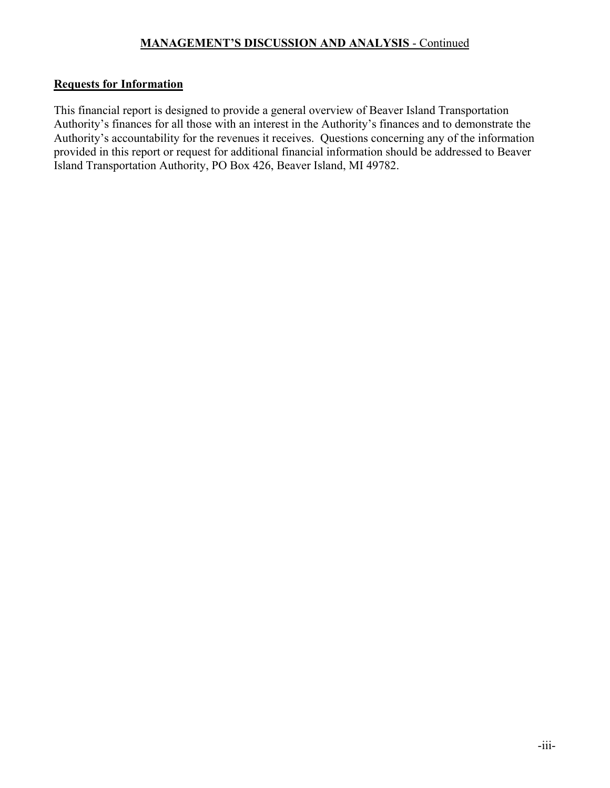### **MANAGEMENT'S DISCUSSION AND ANALYSIS** - Continued

#### **Requests for Information**

This financial report is designed to provide a general overview of Beaver Island Transportation Authority's finances for all those with an interest in the Authority's finances and to demonstrate the Authority's accountability for the revenues it receives. Questions concerning any of the information provided in this report or request for additional financial information should be addressed to Beaver Island Transportation Authority, PO Box 426, Beaver Island, MI 49782.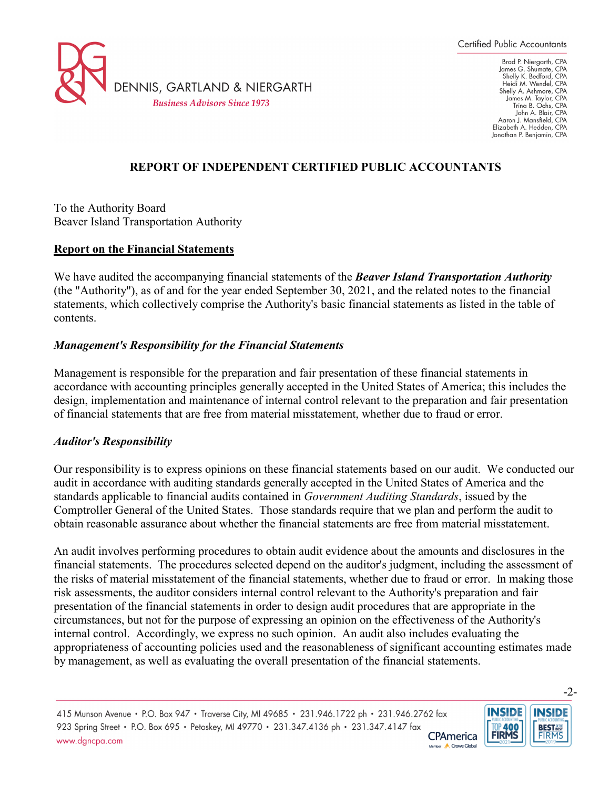

Brad P. Niergarth, CPA James G. Shumate, CPA<br>Shelly K. Bedford, CPA Heidi M. Wendel, CPA Shelly A. Ashmore, CPA<br>James M. Taylor, CPA Trina B. Ochs, CPA John A. Blair, CPA Aaron J. Mansfield, CPA<br>Elizabeth A. Hedden, CPA Jonathan P. Benjamin, CPA

# **REPORT OF INDEPENDENT CERTIFIED PUBLIC ACCOUNTANTS**

To the Authority Board Beaver Island Transportation Authority

#### **Report on the Financial Statements**

We have audited the accompanying financial statements of the *Beaver Island Transportation Authority* (the "Authority"), as of and for the year ended September 30, 2021, and the related notes to the financial statements, which collectively comprise the Authority's basic financial statements as listed in the table of contents.

#### *Management's Responsibility for the Financial Statements*

Management is responsible for the preparation and fair presentation of these financial statements in accordance with accounting principles generally accepted in the United States of America; this includes the design, implementation and maintenance of internal control relevant to the preparation and fair presentation of financial statements that are free from material misstatement, whether due to fraud or error.

#### *Auditor's Responsibility*

Our responsibility is to express opinions on these financial statements based on our audit. We conducted our audit in accordance with auditing standards generally accepted in the United States of America and the standards applicable to financial audits contained in *Government Auditing Standards*, issued by the Comptroller General of the United States. Those standards require that we plan and perform the audit to obtain reasonable assurance about whether the financial statements are free from material misstatement.

An audit involves performing procedures to obtain audit evidence about the amounts and disclosures in the financial statements. The procedures selected depend on the auditor's judgment, including the assessment of the risks of material misstatement of the financial statements, whether due to fraud or error. In making those risk assessments, the auditor considers internal control relevant to the Authority's preparation and fair presentation of the financial statements in order to design audit procedures that are appropriate in the circumstances, but not for the purpose of expressing an opinion on the effectiveness of the Authority's internal control. Accordingly, we express no such opinion. An audit also includes evaluating the appropriateness of accounting policies used and the reasonableness of significant accounting estimates made by management, as well as evaluating the overall presentation of the financial statements.



**CPAmerica** Member **Crowe Global**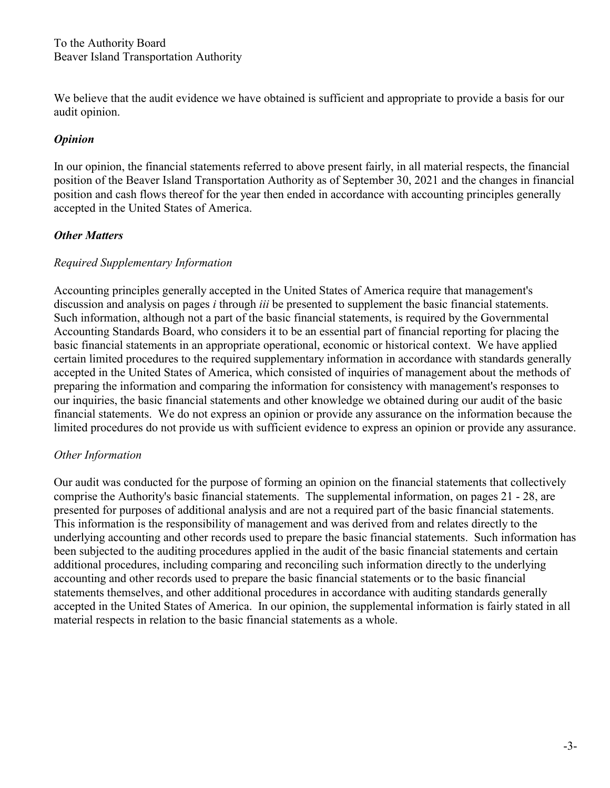We believe that the audit evidence we have obtained is sufficient and appropriate to provide a basis for our audit opinion.

## *Opinion*

In our opinion, the financial statements referred to above present fairly, in all material respects, the financial position of the Beaver Island Transportation Authority as of September 30, 2021 and the changes in financial position and cash flows thereof for the year then ended in accordance with accounting principles generally accepted in the United States of America.

# *Other Matters*

### *Required Supplementary Information*

Accounting principles generally accepted in the United States of America require that management's discussion and analysis on pages *i* through *iii* be presented to supplement the basic financial statements. Such information, although not a part of the basic financial statements, is required by the Governmental Accounting Standards Board, who considers it to be an essential part of financial reporting for placing the basic financial statements in an appropriate operational, economic or historical context. We have applied certain limited procedures to the required supplementary information in accordance with standards generally accepted in the United States of America, which consisted of inquiries of management about the methods of preparing the information and comparing the information for consistency with management's responses to our inquiries, the basic financial statements and other knowledge we obtained during our audit of the basic financial statements. We do not express an opinion or provide any assurance on the information because the limited procedures do not provide us with sufficient evidence to express an opinion or provide any assurance.

## *Other Information*

Our audit was conducted for the purpose of forming an opinion on the financial statements that collectively comprise the Authority's basic financial statements. The supplemental information, on pages 21 - 28, are presented for purposes of additional analysis and are not a required part of the basic financial statements. This information is the responsibility of management and was derived from and relates directly to the underlying accounting and other records used to prepare the basic financial statements. Such information has been subjected to the auditing procedures applied in the audit of the basic financial statements and certain additional procedures, including comparing and reconciling such information directly to the underlying accounting and other records used to prepare the basic financial statements or to the basic financial statements themselves, and other additional procedures in accordance with auditing standards generally accepted in the United States of America. In our opinion, the supplemental information is fairly stated in all material respects in relation to the basic financial statements as a whole.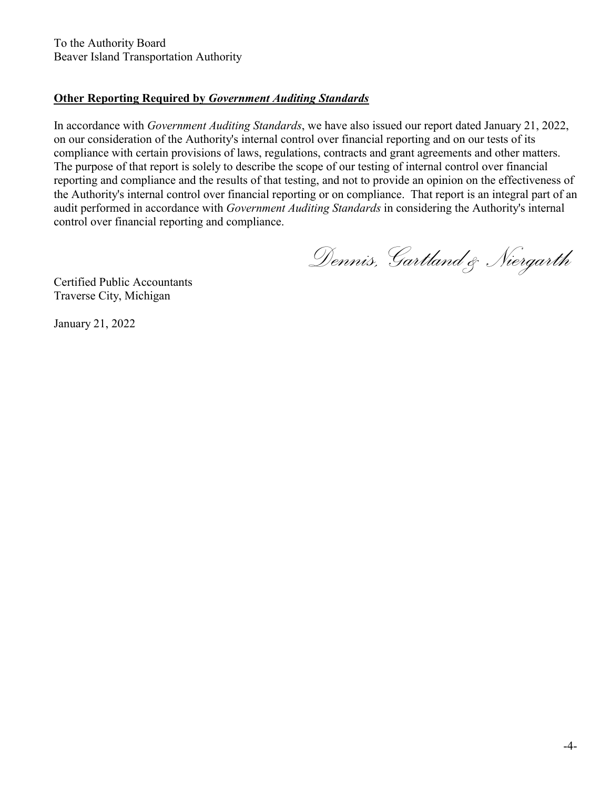To the Authority Board Beaver Island Transportation Authority

#### **Other Reporting Required by** *Government Auditing Standards*

In accordance with *Government Auditing Standards*, we have also issued our report dated January 21, 2022, on our consideration of the Authority's internal control over financial reporting and on our tests of its compliance with certain provisions of laws, regulations, contracts and grant agreements and other matters. The purpose of that report is solely to describe the scope of our testing of internal control over financial reporting and compliance and the results of that testing, and not to provide an opinion on the effectiveness of the Authority's internal control over financial reporting or on compliance. That report is an integral part of an audit performed in accordance with *Government Auditing Standards* in considering the Authority's internal control over financial reporting and compliance.

*Dennis, Gartland & Niergarth* 

Certified Public Accountants Traverse City, Michigan

January 21, 2022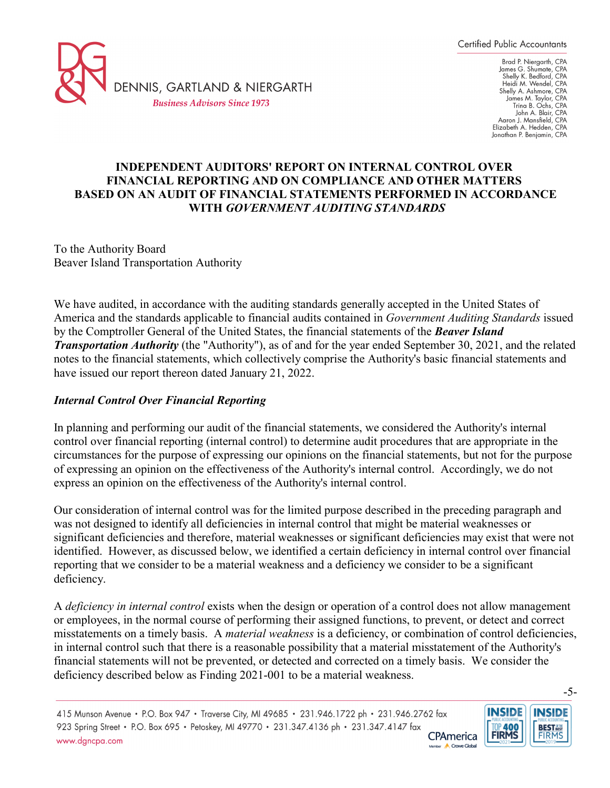

Brad P. Niergarth, CPA James G. Shumate, CPA<br>Shelly K. Bedford, CPA Heidi M. Wendel, CPA Shelly A. Ashmore, CPA<br>James M. Taylor, CPA Trina B. Ochs, CPA John A. Blair, CPA Aaron J. Mansfield, CPA<br>Elizabeth A. Hedden, CPA Jonathan P. Benjamin, CPA

#### **INDEPENDENT AUDITORS' REPORT ON INTERNAL CONTROL OVER FINANCIAL REPORTING AND ON COMPLIANCE AND OTHER MATTERS BASED ON AN AUDIT OF FINANCIAL STATEMENTS PERFORMED IN ACCORDANCE WITH** *GOVERNMENT AUDITING STANDARDS*

To the Authority Board Beaver Island Transportation Authority

We have audited, in accordance with the auditing standards generally accepted in the United States of America and the standards applicable to financial audits contained in *Government Auditing Standards* issued by the Comptroller General of the United States, the financial statements of the *Beaver Island Transportation Authority* (the "Authority"), as of and for the year ended September 30, 2021, and the related notes to the financial statements, which collectively comprise the Authority's basic financial statements and have issued our report thereon dated January 21, 2022.

### *Internal Control Over Financial Reporting*

In planning and performing our audit of the financial statements, we considered the Authority's internal control over financial reporting (internal control) to determine audit procedures that are appropriate in the circumstances for the purpose of expressing our opinions on the financial statements, but not for the purpose of expressing an opinion on the effectiveness of the Authority's internal control. Accordingly, we do not express an opinion on the effectiveness of the Authority's internal control.

Our consideration of internal control was for the limited purpose described in the preceding paragraph and was not designed to identify all deficiencies in internal control that might be material weaknesses or significant deficiencies and therefore, material weaknesses or significant deficiencies may exist that were not identified. However, as discussed below, we identified a certain deficiency in internal control over financial reporting that we consider to be a material weakness and a deficiency we consider to be a significant deficiency.

A *deficiency in internal control* exists when the design or operation of a control does not allow management or employees, in the normal course of performing their assigned functions, to prevent, or detect and correct misstatements on a timely basis. A *material weakness* is a deficiency, or combination of control deficiencies, in internal control such that there is a reasonable possibility that a material misstatement of the Authority's financial statements will not be prevented, or detected and corrected on a timely basis. We consider the deficiency described below as Finding 2021-001 to be a material weakness.



-5-

CPAmerica Member **Crowe Global**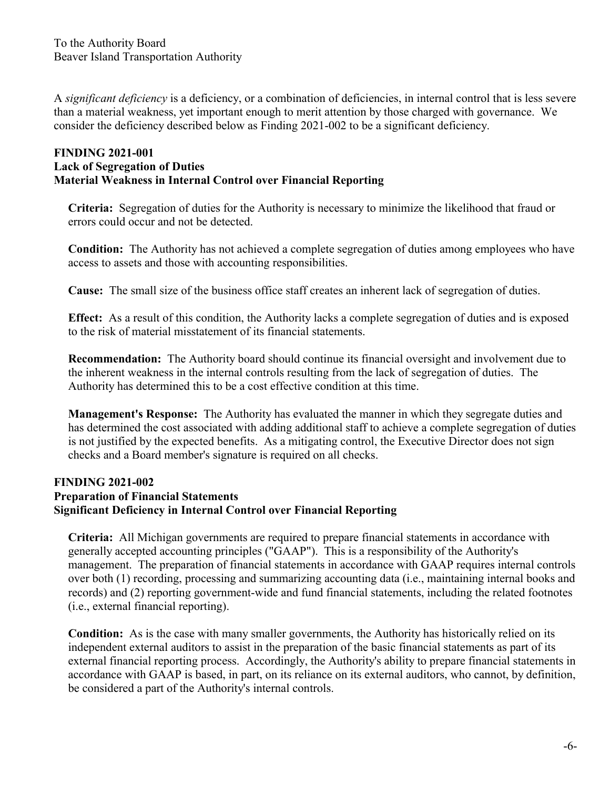A *significant deficiency* is a deficiency, or a combination of deficiencies, in internal control that is less severe than a material weakness, yet important enough to merit attention by those charged with governance. We consider the deficiency described below as Finding 2021-002 to be a significant deficiency.

#### **FINDING 2021-001 Lack of Segregation of Duties Material Weakness in Internal Control over Financial Reporting**

**Criteria:** Segregation of duties for the Authority is necessary to minimize the likelihood that fraud or errors could occur and not be detected.

**Condition:** The Authority has not achieved a complete segregation of duties among employees who have access to assets and those with accounting responsibilities.

**Cause:** The small size of the business office staff creates an inherent lack of segregation of duties.

**Effect:** As a result of this condition, the Authority lacks a complete segregation of duties and is exposed to the risk of material misstatement of its financial statements.

**Recommendation:** The Authority board should continue its financial oversight and involvement due to the inherent weakness in the internal controls resulting from the lack of segregation of duties. The Authority has determined this to be a cost effective condition at this time.

**Management's Response:** The Authority has evaluated the manner in which they segregate duties and has determined the cost associated with adding additional staff to achieve a complete segregation of duties is not justified by the expected benefits. As a mitigating control, the Executive Director does not sign checks and a Board member's signature is required on all checks.

#### **FINDING 2021-002 Preparation of Financial Statements Significant Deficiency in Internal Control over Financial Reporting**

**Criteria:** All Michigan governments are required to prepare financial statements in accordance with generally accepted accounting principles ("GAAP"). This is a responsibility of the Authority's management. The preparation of financial statements in accordance with GAAP requires internal controls over both (1) recording, processing and summarizing accounting data (i.e., maintaining internal books and records) and (2) reporting government-wide and fund financial statements, including the related footnotes (i.e., external financial reporting).

**Condition:** As is the case with many smaller governments, the Authority has historically relied on its independent external auditors to assist in the preparation of the basic financial statements as part of its external financial reporting process. Accordingly, the Authority's ability to prepare financial statements in accordance with GAAP is based, in part, on its reliance on its external auditors, who cannot, by definition, be considered a part of the Authority's internal controls.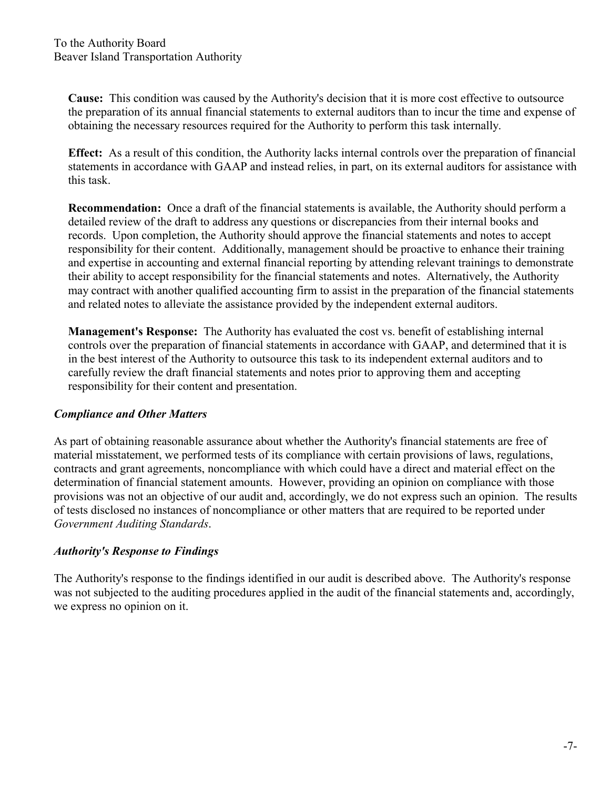**Cause:** This condition was caused by the Authority's decision that it is more cost effective to outsource the preparation of its annual financial statements to external auditors than to incur the time and expense of obtaining the necessary resources required for the Authority to perform this task internally.

**Effect:** As a result of this condition, the Authority lacks internal controls over the preparation of financial statements in accordance with GAAP and instead relies, in part, on its external auditors for assistance with this task.

**Recommendation:** Once a draft of the financial statements is available, the Authority should perform a detailed review of the draft to address any questions or discrepancies from their internal books and records. Upon completion, the Authority should approve the financial statements and notes to accept responsibility for their content. Additionally, management should be proactive to enhance their training and expertise in accounting and external financial reporting by attending relevant trainings to demonstrate their ability to accept responsibility for the financial statements and notes. Alternatively, the Authority may contract with another qualified accounting firm to assist in the preparation of the financial statements and related notes to alleviate the assistance provided by the independent external auditors.

**Management's Response:** The Authority has evaluated the cost vs. benefit of establishing internal controls over the preparation of financial statements in accordance with GAAP, and determined that it is in the best interest of the Authority to outsource this task to its independent external auditors and to carefully review the draft financial statements and notes prior to approving them and accepting responsibility for their content and presentation.

#### *Compliance and Other Matters*

As part of obtaining reasonable assurance about whether the Authority's financial statements are free of material misstatement, we performed tests of its compliance with certain provisions of laws, regulations, contracts and grant agreements, noncompliance with which could have a direct and material effect on the determination of financial statement amounts. However, providing an opinion on compliance with those provisions was not an objective of our audit and, accordingly, we do not express such an opinion. The results of tests disclosed no instances of noncompliance or other matters that are required to be reported under *Government Auditing Standards*.

#### *Authority's Response to Findings*

The Authority's response to the findings identified in our audit is described above. The Authority's response was not subjected to the auditing procedures applied in the audit of the financial statements and, accordingly, we express no opinion on it.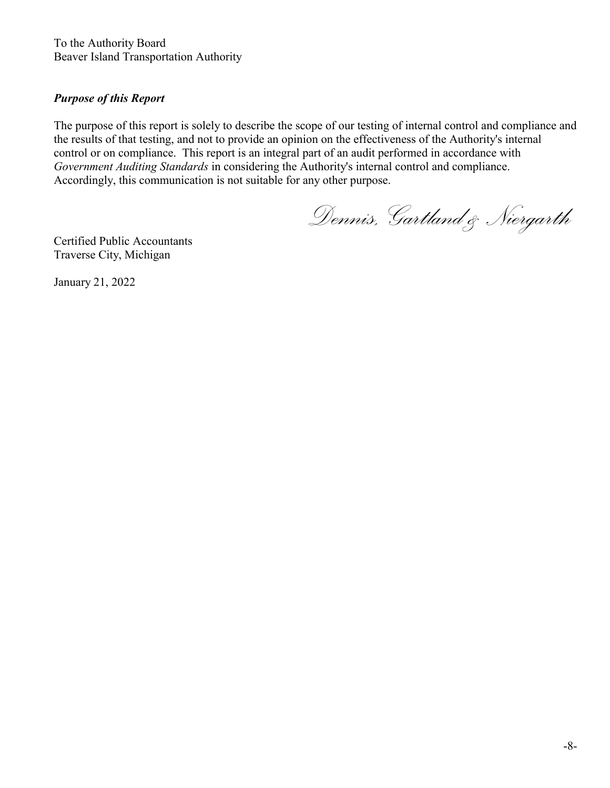To the Authority Board Beaver Island Transportation Authority

#### *Purpose of this Report*

The purpose of this report is solely to describe the scope of our testing of internal control and compliance and the results of that testing, and not to provide an opinion on the effectiveness of the Authority's internal control or on compliance. This report is an integral part of an audit performed in accordance with *Government Auditing Standards* in considering the Authority's internal control and compliance. Accordingly, this communication is not suitable for any other purpose.

*Dennis, Gartland & Niergarth* 

Certified Public Accountants Traverse City, Michigan

January 21, 2022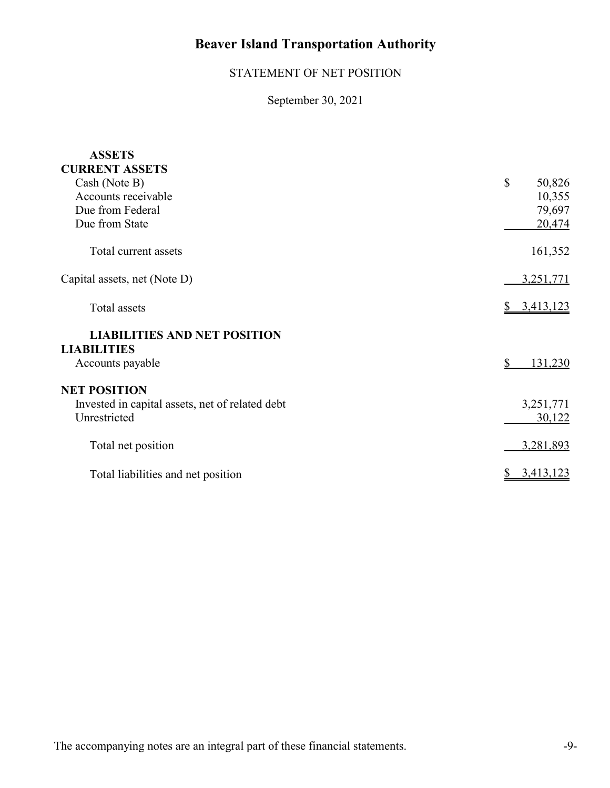# STATEMENT OF NET POSITION

September 30, 2021

| <b>ASSETS</b>                                                                          |                        |
|----------------------------------------------------------------------------------------|------------------------|
| <b>CURRENT ASSETS</b>                                                                  |                        |
| Cash (Note B)                                                                          | $\mathbb{S}$<br>50,826 |
| Accounts receivable                                                                    | 10,355                 |
| Due from Federal                                                                       | 79,697                 |
| Due from State                                                                         | 20,474                 |
| Total current assets                                                                   | 161,352                |
| Capital assets, net (Note D)                                                           | 3,251,771              |
| Total assets                                                                           | 3,413,123<br>\$        |
| <b>LIABILITIES AND NET POSITION</b><br><b>LIABILITIES</b><br>Accounts payable          | 131,230<br>\$          |
| <b>NET POSITION</b><br>Invested in capital assets, net of related debt<br>Unrestricted | 3,251,771<br>30,122    |
| Total net position                                                                     | 3,281,893              |
| Total liabilities and net position                                                     | 3,413,123<br>\$        |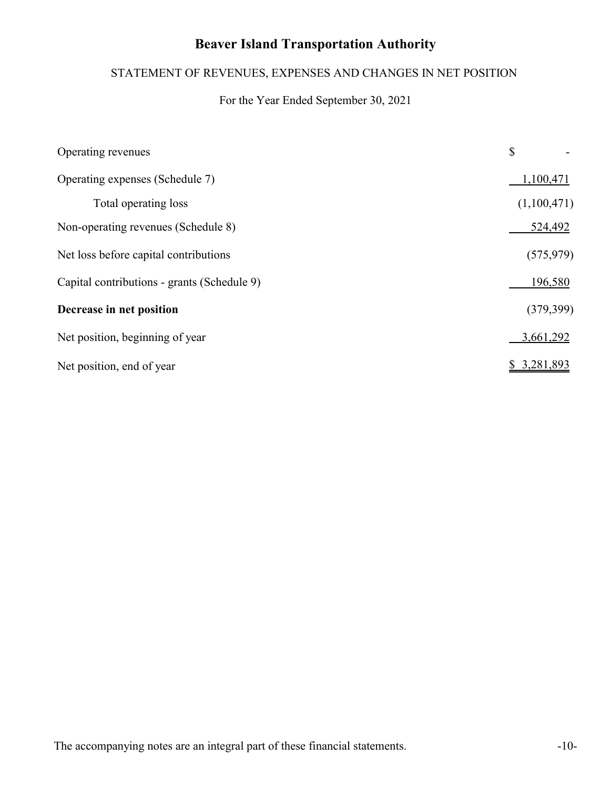# STATEMENT OF REVENUES, EXPENSES AND CHANGES IN NET POSITION

| Operating revenues                          | \$ |             |
|---------------------------------------------|----|-------------|
| Operating expenses (Schedule 7)             |    | 1,100,471   |
| Total operating loss                        |    | (1,100,471) |
| Non-operating revenues (Schedule 8)         |    | 524,492     |
| Net loss before capital contributions       |    | (575, 979)  |
| Capital contributions - grants (Schedule 9) |    | 196,580     |
| Decrease in net position                    |    | (379, 399)  |
| Net position, beginning of year             |    | 3,661,292   |
| Net position, end of year                   | S. | 3,281,893   |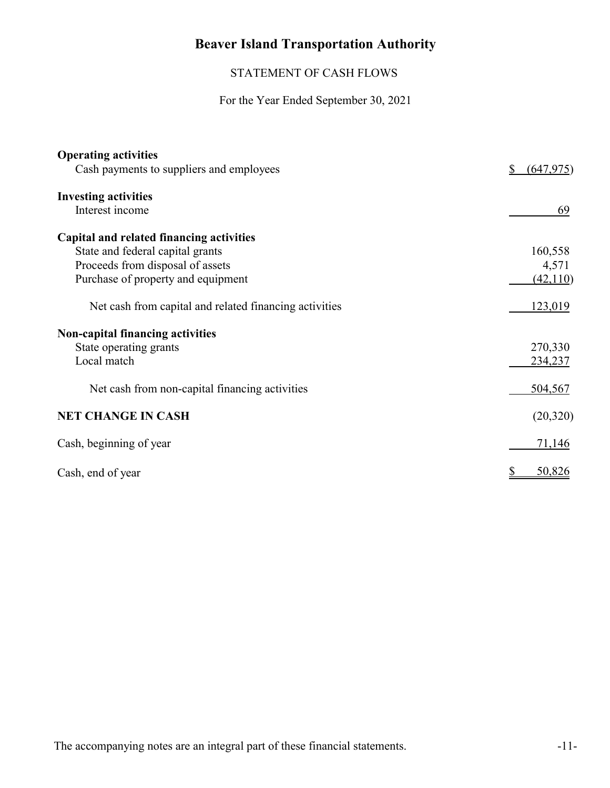# STATEMENT OF CASH FLOWS

| <b>Operating activities</b>                            |              |
|--------------------------------------------------------|--------------|
| Cash payments to suppliers and employees               | (647, 975)   |
| <b>Investing activities</b>                            |              |
| Interest income                                        | 69           |
| Capital and related financing activities               |              |
| State and federal capital grants                       | 160,558      |
| Proceeds from disposal of assets                       | 4,571        |
| Purchase of property and equipment                     | (42, 110)    |
| Net cash from capital and related financing activities | 123,019      |
| Non-capital financing activities                       |              |
| State operating grants                                 | 270,330      |
| Local match                                            | 234,237      |
| Net cash from non-capital financing activities         | 504,567      |
| <b>NET CHANGE IN CASH</b>                              | (20, 320)    |
| Cash, beginning of year                                | 71,146       |
| Cash, end of year                                      | 50,826<br>\$ |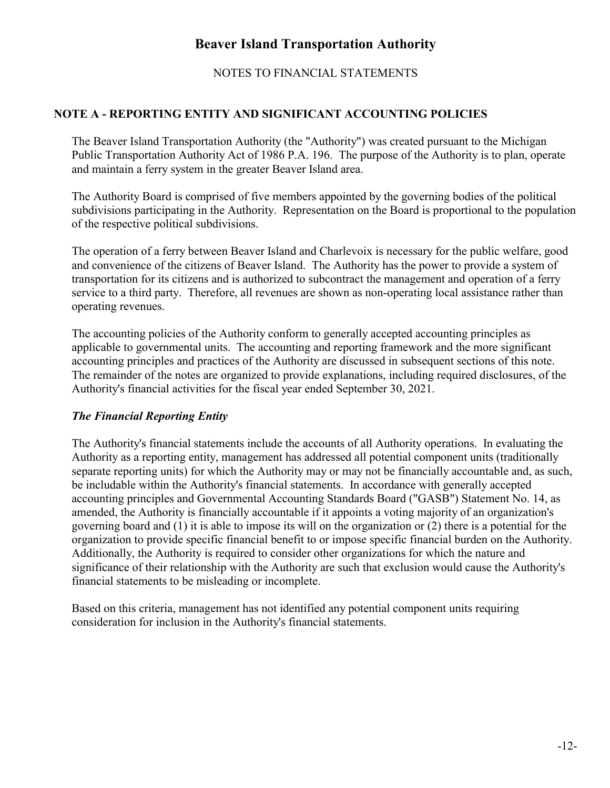NOTES TO FINANCIAL STATEMENTS

### **NOTE A - REPORTING ENTITY AND SIGNIFICANT ACCOUNTING POLICIES**

The Beaver Island Transportation Authority (the "Authority") was created pursuant to the Michigan Public Transportation Authority Act of 1986 P.A. 196. The purpose of the Authority is to plan, operate and maintain a ferry system in the greater Beaver Island area.

The Authority Board is comprised of five members appointed by the governing bodies of the political subdivisions participating in the Authority. Representation on the Board is proportional to the population of the respective political subdivisions.

The operation of a ferry between Beaver Island and Charlevoix is necessary for the public welfare, good and convenience of the citizens of Beaver Island. The Authority has the power to provide a system of transportation for its citizens and is authorized to subcontract the management and operation of a ferry service to a third party. Therefore, all revenues are shown as non-operating local assistance rather than operating revenues.

The accounting policies of the Authority conform to generally accepted accounting principles as applicable to governmental units. The accounting and reporting framework and the more significant accounting principles and practices of the Authority are discussed in subsequent sections of this note. The remainder of the notes are organized to provide explanations, including required disclosures, of the Authority's financial activities for the fiscal year ended September 30, 2021.

#### *The Financial Reporting Entity*

The Authority's financial statements include the accounts of all Authority operations. In evaluating the Authority as a reporting entity, management has addressed all potential component units (traditionally separate reporting units) for which the Authority may or may not be financially accountable and, as such, be includable within the Authority's financial statements. In accordance with generally accepted accounting principles and Governmental Accounting Standards Board ("GASB") Statement No. 14, as amended, the Authority is financially accountable if it appoints a voting majority of an organization's governing board and (1) it is able to impose its will on the organization or (2) there is a potential for the organization to provide specific financial benefit to or impose specific financial burden on the Authority. Additionally, the Authority is required to consider other organizations for which the nature and significance of their relationship with the Authority are such that exclusion would cause the Authority's financial statements to be misleading or incomplete.

Based on this criteria, management has not identified any potential component units requiring consideration for inclusion in the Authority's financial statements.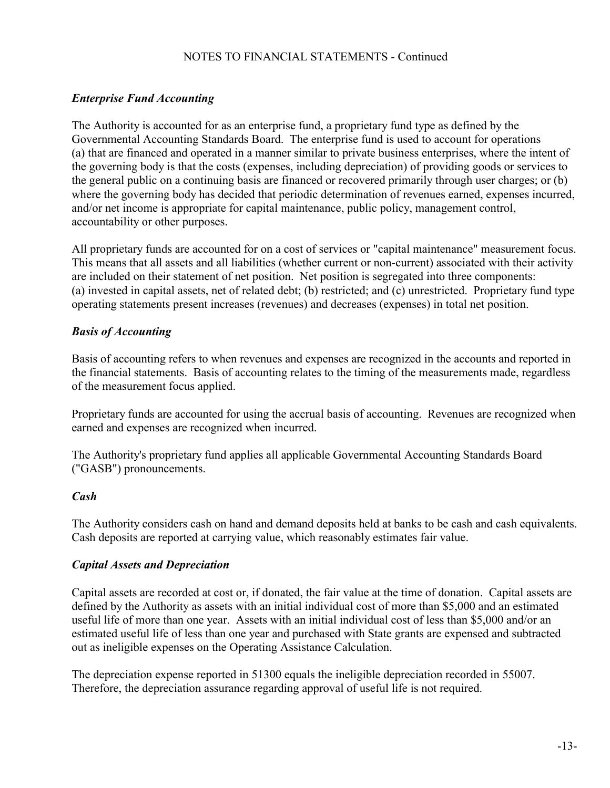#### *Enterprise Fund Accounting*

The Authority is accounted for as an enterprise fund, a proprietary fund type as defined by the Governmental Accounting Standards Board. The enterprise fund is used to account for operations (a) that are financed and operated in a manner similar to private business enterprises, where the intent of the governing body is that the costs (expenses, including depreciation) of providing goods or services to the general public on a continuing basis are financed or recovered primarily through user charges; or (b) where the governing body has decided that periodic determination of revenues earned, expenses incurred, and/or net income is appropriate for capital maintenance, public policy, management control, accountability or other purposes.

All proprietary funds are accounted for on a cost of services or "capital maintenance" measurement focus. This means that all assets and all liabilities (whether current or non-current) associated with their activity are included on their statement of net position. Net position is segregated into three components: (a) invested in capital assets, net of related debt; (b) restricted; and (c) unrestricted. Proprietary fund type operating statements present increases (revenues) and decreases (expenses) in total net position.

#### *Basis of Accounting*

Basis of accounting refers to when revenues and expenses are recognized in the accounts and reported in the financial statements. Basis of accounting relates to the timing of the measurements made, regardless of the measurement focus applied.

Proprietary funds are accounted for using the accrual basis of accounting. Revenues are recognized when earned and expenses are recognized when incurred.

The Authority's proprietary fund applies all applicable Governmental Accounting Standards Board ("GASB") pronouncements.

#### *Cash*

The Authority considers cash on hand and demand deposits held at banks to be cash and cash equivalents. Cash deposits are reported at carrying value, which reasonably estimates fair value.

#### *Capital Assets and Depreciation*

Capital assets are recorded at cost or, if donated, the fair value at the time of donation. Capital assets are defined by the Authority as assets with an initial individual cost of more than \$5,000 and an estimated useful life of more than one year. Assets with an initial individual cost of less than \$5,000 and/or an estimated useful life of less than one year and purchased with State grants are expensed and subtracted out as ineligible expenses on the Operating Assistance Calculation.

The depreciation expense reported in 51300 equals the ineligible depreciation recorded in 55007. Therefore, the depreciation assurance regarding approval of useful life is not required.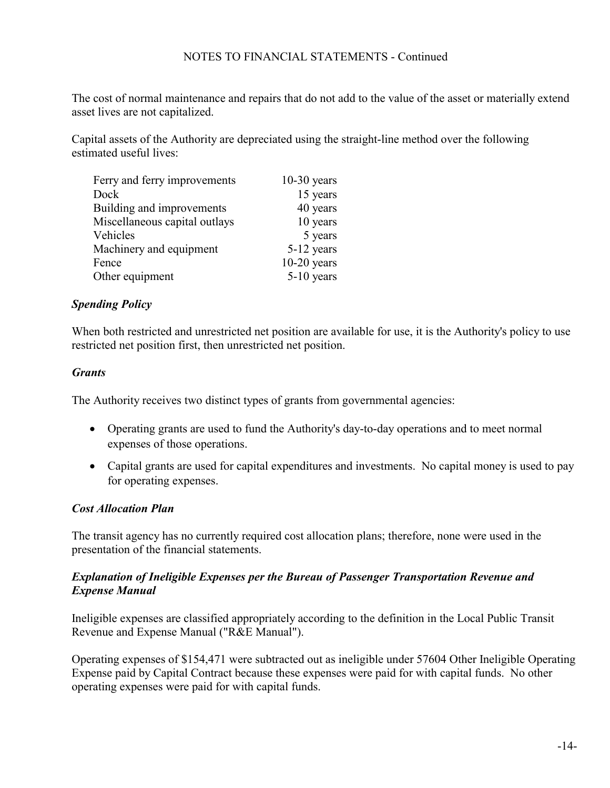The cost of normal maintenance and repairs that do not add to the value of the asset or materially extend asset lives are not capitalized.

Capital assets of the Authority are depreciated using the straight-line method over the following estimated useful lives:

| Ferry and ferry improvements  | $10-30$ years |
|-------------------------------|---------------|
| Dock                          | 15 years      |
| Building and improvements     | 40 years      |
| Miscellaneous capital outlays | 10 years      |
| Vehicles                      | 5 years       |
| Machinery and equipment       | 5-12 years    |
| Fence                         | $10-20$ years |
| Other equipment               | $5-10$ years  |

#### *Spending Policy*

When both restricted and unrestricted net position are available for use, it is the Authority's policy to use restricted net position first, then unrestricted net position.

#### *Grants*

The Authority receives two distinct types of grants from governmental agencies:

- Operating grants are used to fund the Authority's day-to-day operations and to meet normal expenses of those operations.
- Capital grants are used for capital expenditures and investments. No capital money is used to pay for operating expenses.

#### *Cost Allocation Plan*

The transit agency has no currently required cost allocation plans; therefore, none were used in the presentation of the financial statements.

#### *Explanation of Ineligible Expenses per the Bureau of Passenger Transportation Revenue and Expense Manual*

Ineligible expenses are classified appropriately according to the definition in the Local Public Transit Revenue and Expense Manual ("R&E Manual").

Operating expenses of \$154,471 were subtracted out as ineligible under 57604 Other Ineligible Operating Expense paid by Capital Contract because these expenses were paid for with capital funds. No other operating expenses were paid for with capital funds.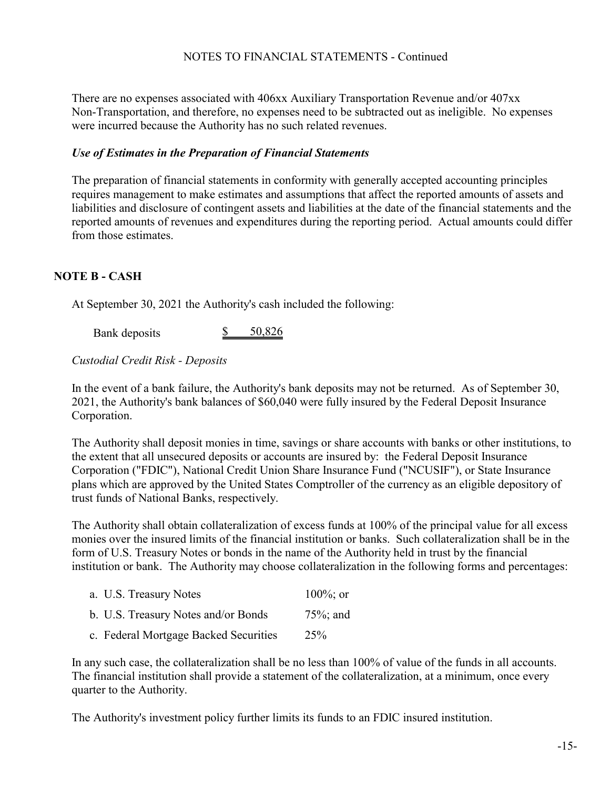There are no expenses associated with 406xx Auxiliary Transportation Revenue and/or 407xx Non-Transportation, and therefore, no expenses need to be subtracted out as ineligible. No expenses were incurred because the Authority has no such related revenues.

#### *Use of Estimates in the Preparation of Financial Statements*

The preparation of financial statements in conformity with generally accepted accounting principles requires management to make estimates and assumptions that affect the reported amounts of assets and liabilities and disclosure of contingent assets and liabilities at the date of the financial statements and the reported amounts of revenues and expenditures during the reporting period. Actual amounts could differ from those estimates.

#### **NOTE B - CASH**

At September 30, 2021 the Authority's cash included the following:

Bank deposits  $\frac{\$}{20,826}$ 

*Custodial Credit Risk - Deposits*

In the event of a bank failure, the Authority's bank deposits may not be returned. As of September 30, 2021, the Authority's bank balances of \$60,040 were fully insured by the Federal Deposit Insurance Corporation.

The Authority shall deposit monies in time, savings or share accounts with banks or other institutions, to the extent that all unsecured deposits or accounts are insured by: the Federal Deposit Insurance Corporation ("FDIC"), National Credit Union Share Insurance Fund ("NCUSIF"), or State Insurance plans which are approved by the United States Comptroller of the currency as an eligible depository of trust funds of National Banks, respectively.

The Authority shall obtain collateralization of excess funds at 100% of the principal value for all excess monies over the insured limits of the financial institution or banks. Such collateralization shall be in the form of U.S. Treasury Notes or bonds in the name of the Authority held in trust by the financial institution or bank. The Authority may choose collateralization in the following forms and percentages:

| a. U.S. Treasury Notes                | $100\%$ ; or |
|---------------------------------------|--------------|
| b. U.S. Treasury Notes and/or Bonds   | $75\%$ ; and |
| c. Federal Mortgage Backed Securities | 25%          |

In any such case, the collateralization shall be no less than 100% of value of the funds in all accounts. The financial institution shall provide a statement of the collateralization, at a minimum, once every quarter to the Authority.

The Authority's investment policy further limits its funds to an FDIC insured institution.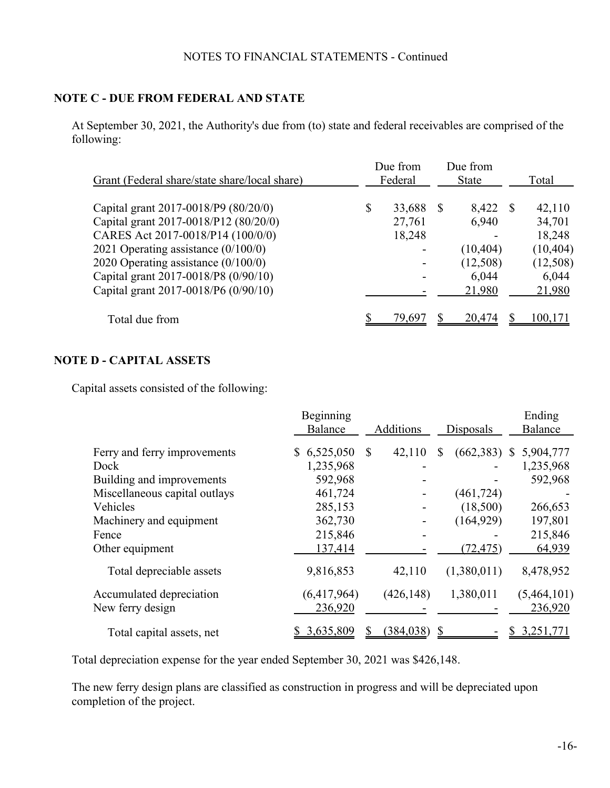#### **NOTE C - DUE FROM FEDERAL AND STATE**

At September 30, 2021, the Authority's due from (to) state and federal receivables are comprised of the following:

|                                               |         | Due from |              | Due from  |     |           |
|-----------------------------------------------|---------|----------|--------------|-----------|-----|-----------|
| Grant (Federal share/state share/local share) | Federal |          | <b>State</b> |           |     | Total     |
|                                               |         |          |              |           |     |           |
| Capital grant 2017-0018/P9 (80/20/0)          | \$      | 33,688   | <sup>S</sup> | 8,422     | - S | 42,110    |
| Capital grant 2017-0018/P12 (80/20/0)         |         | 27,761   |              | 6,940     |     | 34,701    |
| CARES Act 2017-0018/P14 (100/0/0)             |         | 18,248   |              |           |     | 18,248    |
| 2021 Operating assistance $(0/100/0)$         |         |          |              | (10, 404) |     | (10, 404) |
| 2020 Operating assistance $(0/100/0)$         |         |          |              | (12,508)  |     | (12,508)  |
| Capital grant 2017-0018/P8 (0/90/10)          |         |          |              | 6,044     |     | 6,044     |
| Capital grant 2017-0018/P6 (0/90/10)          |         |          |              | 21,980    |     | 21,980    |
|                                               |         |          |              |           |     |           |
| Total due from                                |         | 79.697   |              | 20,474    |     | 100,171   |

#### **NOTE D - CAPITAL ASSETS**

Capital assets consisted of the following:

|                               | Beginning<br>Balance | Additions   | Disposals        | Ending<br>Balance         |
|-------------------------------|----------------------|-------------|------------------|---------------------------|
| Ferry and ferry improvements  | 6,525,050            | 42,110<br>S | (662, 383)<br>\$ | 5,904,777<br><sup>S</sup> |
| Dock                          | 1,235,968            |             |                  | 1,235,968                 |
| Building and improvements     | 592,968              |             |                  | 592,968                   |
| Miscellaneous capital outlays | 461,724              |             | (461, 724)       |                           |
| Vehicles                      | 285,153              |             | (18,500)         | 266,653                   |
| Machinery and equipment       | 362,730              |             | (164, 929)       | 197,801                   |
| Fence                         | 215,846              |             |                  | 215,846                   |
| Other equipment               | 137,414              |             | (72, 475)        | 64,939                    |
| Total depreciable assets      | 9,816,853            | 42,110      | (1,380,011)      | 8,478,952                 |
| Accumulated depreciation      | (6,417,964)          | (426, 148)  | 1,380,011        | (5,464,101)               |
| New ferry design              | 236,920              |             |                  | 236,920                   |
| Total capital assets, net     | 3,635,809            | (384, 038)  |                  | 3,251,771                 |

Total depreciation expense for the year ended September 30, 2021 was \$426,148.

The new ferry design plans are classified as construction in progress and will be depreciated upon completion of the project.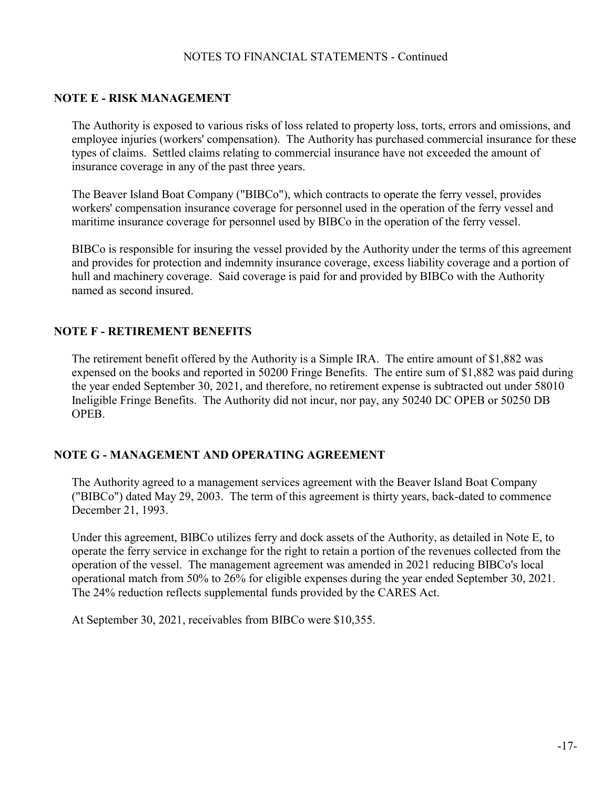#### **NOTE E - RISK MANAGEMENT**

The Authority is exposed to various risks of loss related to property loss, torts, errors and omissions, and employee injuries (workers' compensation). The Authority has purchased commercial insurance for these types of claims. Settled claims relating to commercial insurance have not exceeded the amount of insurance coverage in any of the past three years.

The Beaver Island Boat Company ("BIBCo"), which contracts to operate the ferry vessel, provides workers' compensation insurance coverage for personnel used in the operation of the ferry vessel and maritime insurance coverage for personnel used by BIBCo in the operation of the ferry vessel.

BIBCo is responsible for insuring the vessel provided by the Authority under the terms of this agreement and provides for protection and indemnity insurance coverage, excess liability coverage and a portion of hull and machinery coverage. Said coverage is paid for and provided by BIBCo with the Authority named as second insured.

#### **NOTE F - RETIREMENT BENEFITS**

The retirement benefit offered by the Authority is a Simple IRA. The entire amount of \$1,882 was expensed on the books and reported in 50200 Fringe Benefits. The entire sum of \$1,882 was paid during the year ended September 30, 2021, and therefore, no retirement expense is subtracted out under 58010 Ineligible Fringe Benefits. The Authority did not incur, nor pay, any 50240 DC OPEB or 50250 DB OPEB.

#### **NOTE G - MANAGEMENT AND OPERATING AGREEMENT**

The Authority agreed to a management services agreement with the Beaver Island Boat Company ("BIBCo") dated May 29, 2003. The term of this agreement is thirty years, back-dated to commence December 21, 1993.

Under this agreement, BIBCo utilizes ferry and dock assets of the Authority, as detailed in Note E, to operate the ferry service in exchange for the right to retain a portion of the revenues collected from the operation of the vessel. The management agreement was amended in 2021 reducing BIBCo's local operational match from 50% to 26% for eligible expenses during the year ended September 30, 2021. The 24% reduction reflects supplemental funds provided by the CARES Act.

At September 30, 2021, receivables from BIBCo were \$10,355.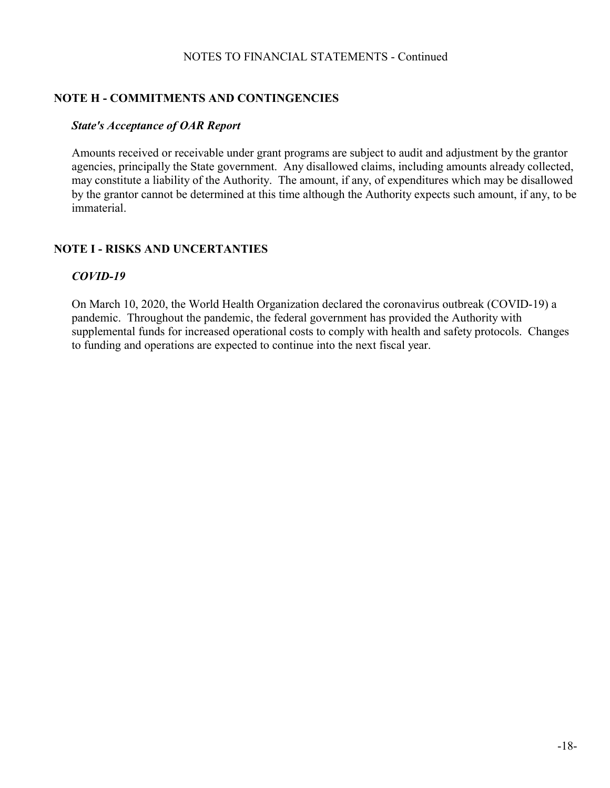### **NOTE H - COMMITMENTS AND CONTINGENCIES**

#### *State's Acceptance of OAR Report*

Amounts received or receivable under grant programs are subject to audit and adjustment by the grantor agencies, principally the State government. Any disallowed claims, including amounts already collected, may constitute a liability of the Authority. The amount, if any, of expenditures which may be disallowed by the grantor cannot be determined at this time although the Authority expects such amount, if any, to be immaterial.

### **NOTE I - RISKS AND UNCERTANTIES**

#### *COVID-19*

On March 10, 2020, the World Health Organization declared the coronavirus outbreak (COVID-19) a pandemic. Throughout the pandemic, the federal government has provided the Authority with supplemental funds for increased operational costs to comply with health and safety protocols. Changes to funding and operations are expected to continue into the next fiscal year.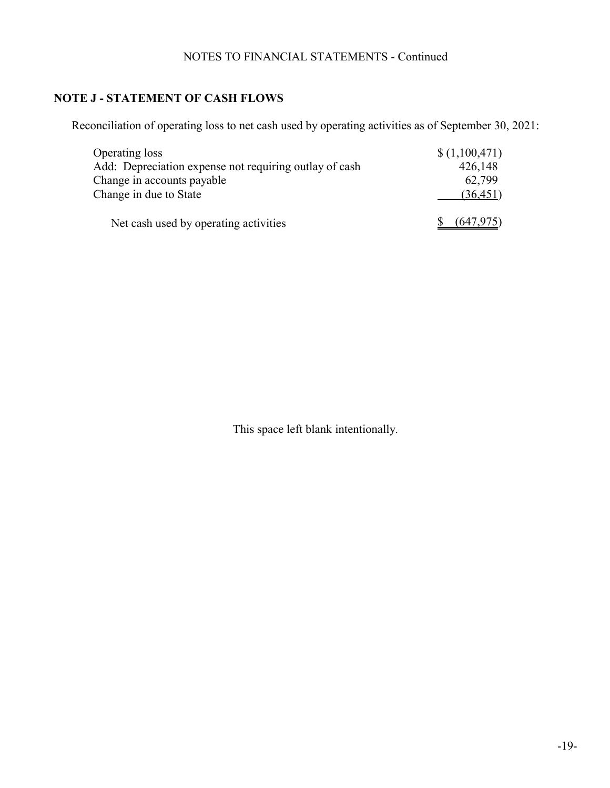# **NOTE J - STATEMENT OF CASH FLOWS**

Reconciliation of operating loss to net cash used by operating activities as of September 30, 2021:

| Operating loss                                         | \$(1,100,471) |
|--------------------------------------------------------|---------------|
| Add: Depreciation expense not requiring outlay of cash | 426,148       |
| Change in accounts payable                             | 62,799        |
| Change in due to State                                 | (36, 451)     |
| Net cash used by operating activities                  | (647,975)     |

This space left blank intentionally.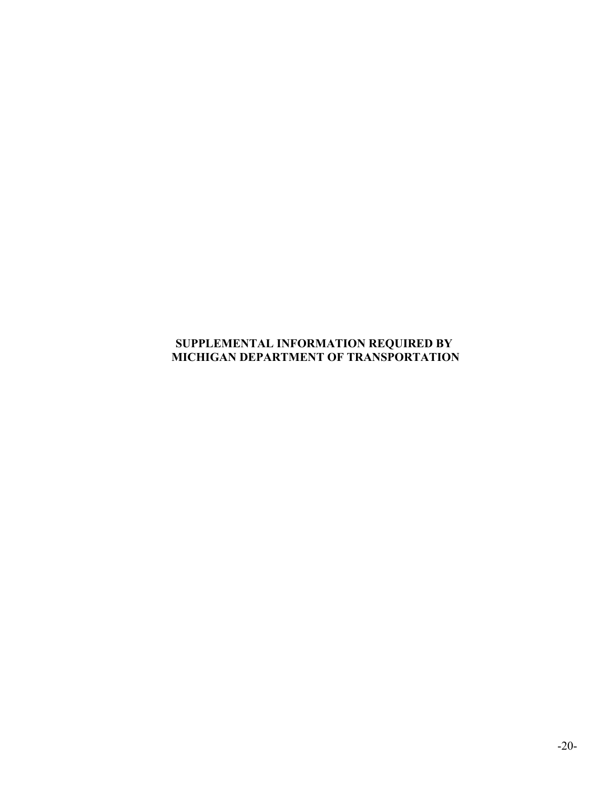# **SUPPLEMENTAL INFORMATION REQUIRED BY MICHIGAN DEPARTMENT OF TRANSPORTATION**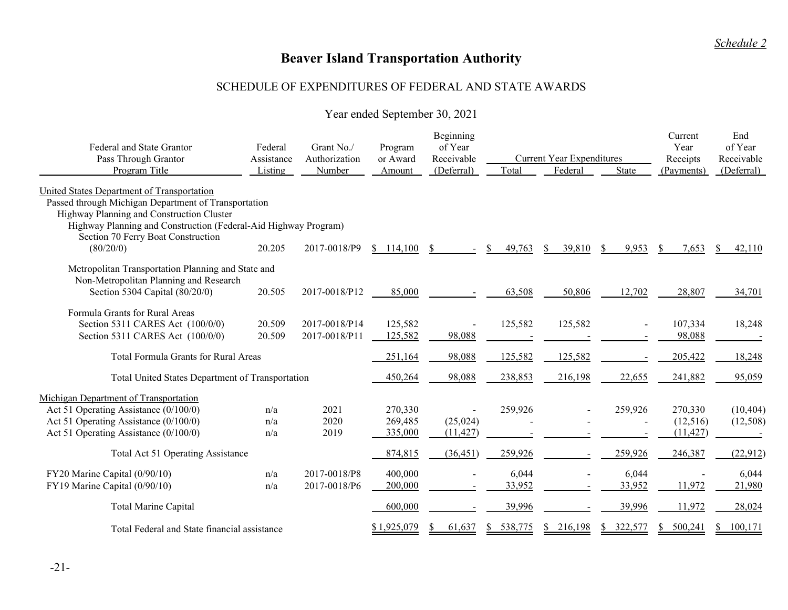# SCHEDULE OF EXPENDITURES OF FEDERAL AND STATE AWARDS

| Federal and State Grantor<br>Pass Through Grantor                                                                                                                                                                                                        | Federal<br>Assistance | Grant No./<br>Authorization    | Program<br>or Award           | Beginning<br>of Year<br>Receivable |                 | <b>Current Year Expenditures</b> |                 | Current<br>Year<br>Receipts      | End<br>of Year<br>Receivable |
|----------------------------------------------------------------------------------------------------------------------------------------------------------------------------------------------------------------------------------------------------------|-----------------------|--------------------------------|-------------------------------|------------------------------------|-----------------|----------------------------------|-----------------|----------------------------------|------------------------------|
| Program Title                                                                                                                                                                                                                                            | Listing               | Number                         | Amount                        | (Deferral)                         | Total           | Federal                          | State           | (Payments)                       | (Deferral)                   |
| United States Department of Transportation<br>Passed through Michigan Department of Transportation<br>Highway Planning and Construction Cluster<br>Highway Planning and Construction (Federal-Aid Highway Program)<br>Section 70 Ferry Boat Construction |                       |                                |                               |                                    |                 |                                  |                 |                                  |                              |
| (80/20/0)                                                                                                                                                                                                                                                | 20.205                | 2017-0018/P9                   | 114,100<br>S.                 | <sup>S</sup>                       | 49,763          | 39,810                           | 9,953           | 7,653                            | 42,110                       |
| Metropolitan Transportation Planning and State and<br>Non-Metropolitan Planning and Research<br>Section 5304 Capital (80/20/0)                                                                                                                           | 20.505                | 2017-0018/P12                  | 85,000                        |                                    | 63,508          | 50,806                           | 12,702          | 28,807                           | 34,701                       |
| Formula Grants for Rural Areas<br>Section 5311 CARES Act (100/0/0)<br>Section 5311 CARES Act (100/0/0)                                                                                                                                                   | 20.509<br>20.509      | 2017-0018/P14<br>2017-0018/P11 | 125,582<br>125,582            | 98,088                             | 125,582         | 125,582                          |                 | 107,334<br>98,088                | 18,248                       |
| Total Formula Grants for Rural Areas                                                                                                                                                                                                                     |                       |                                | 251,164                       | 98,088                             | 125,582         | 125,582                          |                 | 205,422                          | 18,248                       |
| Total United States Department of Transportation                                                                                                                                                                                                         |                       |                                | 450,264                       | 98,088                             | 238,853         | 216,198                          | 22,655          | 241,882                          | 95,059                       |
| Michigan Department of Transportation<br>Act 51 Operating Assistance (0/100/0)<br>Act 51 Operating Assistance (0/100/0)<br>Act 51 Operating Assistance (0/100/0)                                                                                         | n/a<br>n/a<br>n/a     | 2021<br>2020<br>2019           | 270,330<br>269,485<br>335,000 | (25,024)<br>(11, 427)              | 259,926         |                                  | 259,926         | 270,330<br>(12,516)<br>(11, 427) | (10, 404)<br>(12,508)        |
| Total Act 51 Operating Assistance                                                                                                                                                                                                                        |                       |                                | 874,815                       | (36, 451)                          | 259,926         |                                  | 259,926         | 246,387                          | (22, 912)                    |
| FY20 Marine Capital (0/90/10)<br>FY19 Marine Capital (0/90/10)                                                                                                                                                                                           | n/a<br>n/a            | 2017-0018/P8<br>2017-0018/P6   | 400,000<br>200,000            |                                    | 6,044<br>33,952 |                                  | 6,044<br>33,952 | 11,972                           | 6,044<br>21,980              |
| Total Marine Capital                                                                                                                                                                                                                                     |                       |                                | 600,000                       |                                    | 39,996          |                                  | 39,996          | 11,972                           | 28,024                       |
| Total Federal and State financial assistance                                                                                                                                                                                                             |                       |                                | \$1,925,079                   | 61,637                             | 538,775<br>\$.  | 216,198<br>\$                    | \$322,577       | \$500,241                        | 100,171<br>\$                |

# Year ended September 30, 2021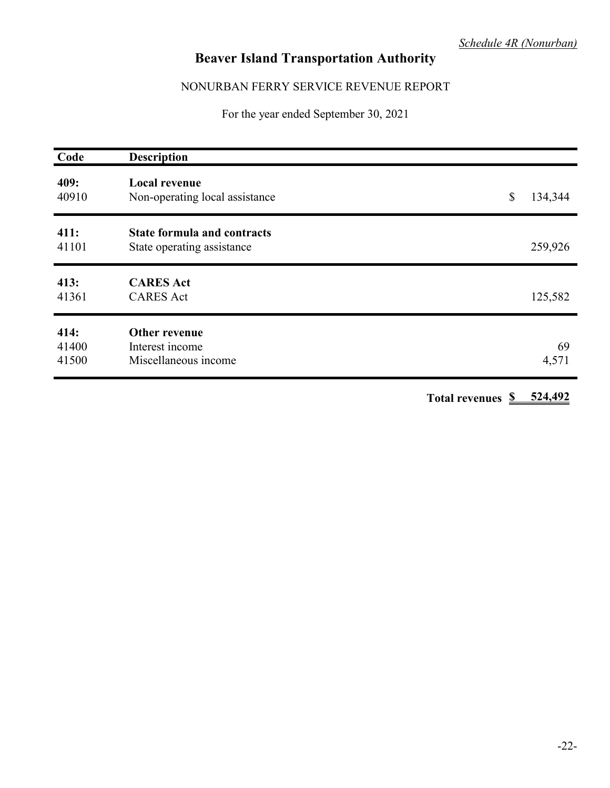## NONURBAN FERRY SERVICE REVENUE REPORT

| Code                   | <b>Description</b>                                               |                                       |
|------------------------|------------------------------------------------------------------|---------------------------------------|
| 409:<br>40910          | <b>Local revenue</b><br>Non-operating local assistance           | $\mathbb{S}$<br>134,344               |
| 411:<br>41101          | <b>State formula and contracts</b><br>State operating assistance | 259,926                               |
| 413:<br>41361          | <b>CARES Act</b><br><b>CARES</b> Act                             | 125,582                               |
| 414:<br>41400<br>41500 | Other revenue<br>Interest income<br>Miscellaneous income         | 69<br>4,571                           |
|                        |                                                                  | 524,492<br><b>Total revenues</b><br>ъ |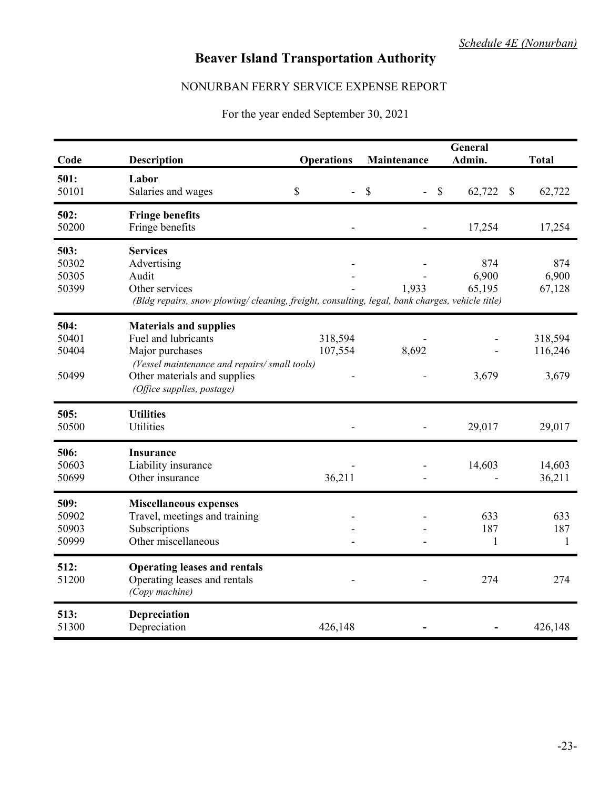# NONURBAN FERRY SERVICE EXPENSE REPORT

| Code                            | <b>Description</b>                                                                                                                                                                    | <b>Operations</b>  | Maintenance                                 | General<br>Admin.                   | <b>Total</b>                |
|---------------------------------|---------------------------------------------------------------------------------------------------------------------------------------------------------------------------------------|--------------------|---------------------------------------------|-------------------------------------|-----------------------------|
| 501:<br>50101                   | Labor<br>Salaries and wages                                                                                                                                                           | \$<br>Ξ.           | $\boldsymbol{\mathsf{S}}$<br>$\blacksquare$ | 62,722<br>$\boldsymbol{\mathsf{S}}$ | $\mathcal{S}$<br>62,722     |
| 502:<br>50200                   | <b>Fringe benefits</b><br>Fringe benefits                                                                                                                                             |                    |                                             | 17,254                              | 17,254                      |
| 503:<br>50302<br>50305<br>50399 | <b>Services</b><br>Advertising<br>Audit<br>Other services<br>(Bldg repairs, snow plowing/cleaning, freight, consulting, legal, bank charges, vehicle title)                           |                    | 1,933                                       | 874<br>6,900<br>65,195              | 874<br>6,900<br>67,128      |
| 504:<br>50401<br>50404<br>50499 | <b>Materials and supplies</b><br>Fuel and lubricants<br>Major purchases<br>(Vessel maintenance and repairs/small tools)<br>Other materials and supplies<br>(Office supplies, postage) | 318,594<br>107,554 | 8,692                                       | 3,679                               | 318,594<br>116,246<br>3,679 |
| 505:<br>50500                   | <b>Utilities</b><br>Utilities                                                                                                                                                         |                    |                                             | 29,017                              | 29,017                      |
| 506:<br>50603<br>50699          | <b>Insurance</b><br>Liability insurance<br>Other insurance                                                                                                                            | 36,211             |                                             | 14,603                              | 14,603<br>36,211            |
| 509:<br>50902<br>50903<br>50999 | <b>Miscellaneous expenses</b><br>Travel, meetings and training<br>Subscriptions<br>Other miscellaneous                                                                                |                    |                                             | 633<br>187<br>1                     | 633<br>187<br>1             |
| 512:<br>51200                   | <b>Operating leases and rentals</b><br>Operating leases and rentals<br>(Copy machine)                                                                                                 |                    |                                             | 274                                 | 274                         |
| 513:<br>51300                   | Depreciation<br>Depreciation                                                                                                                                                          | 426,148            |                                             |                                     | 426,148                     |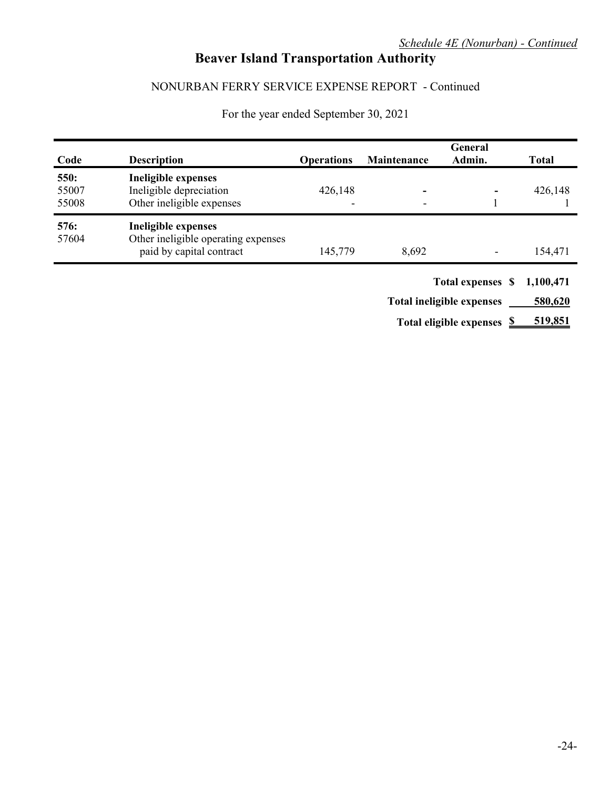# NONURBAN FERRY SERVICE EXPENSE REPORT - Continued

| For the year ended September 30, 2021 |
|---------------------------------------|
|---------------------------------------|

|                        | <b>Description</b>                                                                     | <b>Operations</b>                   | Maintenance | Admin. | <b>Total</b> |
|------------------------|----------------------------------------------------------------------------------------|-------------------------------------|-------------|--------|--------------|
| 550:<br>55007<br>55008 | Ineligible expenses<br>Ineligible depreciation<br>Other ineligible expenses            | 426,148<br>$\overline{\phantom{a}}$ |             |        | 426,148      |
| <b>576:</b><br>57604   | Ineligible expenses<br>Other ineligible operating expenses<br>paid by capital contract | 145,779                             | 8,692       |        | 154,471      |

**Total expenses \$ 1,100,471**

**Total ineligible expenses 580,620**

**Total eligible expenses \$ 519,851**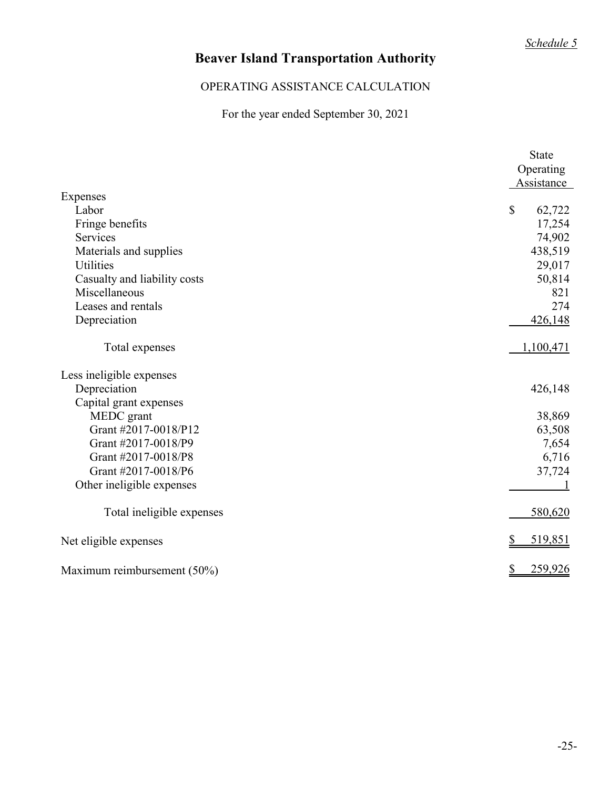*Schedule 5*

# **Beaver Island Transportation Authority**

# OPERATING ASSISTANCE CALCULATION

|                              | <b>State</b> |
|------------------------------|--------------|
|                              | Operating    |
|                              | Assistance   |
| Expenses                     |              |
| Labor                        | \$<br>62,722 |
| Fringe benefits              | 17,254       |
| Services                     | 74,902       |
| Materials and supplies       | 438,519      |
| <b>Utilities</b>             | 29,017       |
| Casualty and liability costs | 50,814       |
| Miscellaneous                | 821          |
| Leases and rentals           | 274          |
| Depreciation                 | 426,148      |
| Total expenses               | 1,100,471    |
| Less ineligible expenses     |              |
| Depreciation                 | 426,148      |
| Capital grant expenses       |              |
| MEDC grant                   | 38,869       |
| Grant #2017-0018/P12         | 63,508       |
| Grant #2017-0018/P9          | 7,654        |
| Grant #2017-0018/P8          | 6,716        |
| Grant #2017-0018/P6          | 37,724       |
| Other ineligible expenses    |              |
| Total ineligible expenses    | 580,620      |
| Net eligible expenses        | 519,851      |
| Maximum reimbursement (50%)  | 259,926      |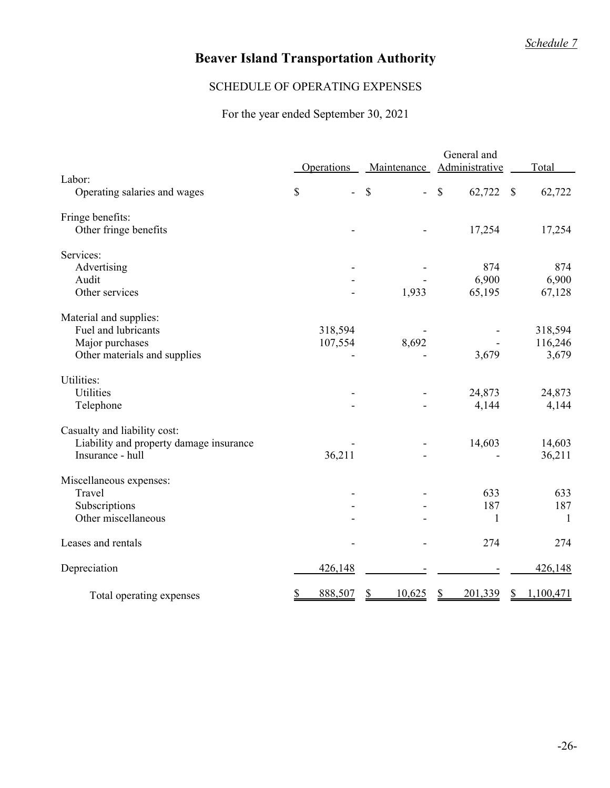# SCHEDULE OF OPERATING EXPENSES

|                                         | Operations           | Maintenance          | General and<br>Administrative | Total                  |
|-----------------------------------------|----------------------|----------------------|-------------------------------|------------------------|
| Labor:                                  |                      |                      |                               |                        |
| Operating salaries and wages            | \$<br>$\blacksquare$ | \$<br>$\overline{a}$ | \$<br>62,722                  | $\mathbb{S}$<br>62,722 |
| Fringe benefits:                        |                      |                      |                               |                        |
| Other fringe benefits                   |                      |                      | 17,254                        | 17,254                 |
| Services:                               |                      |                      |                               |                        |
| Advertising                             |                      |                      | 874                           | 874                    |
| Audit                                   |                      |                      | 6,900                         | 6,900                  |
| Other services                          |                      | 1,933                | 65,195                        | 67,128                 |
| Material and supplies:                  |                      |                      |                               |                        |
| Fuel and lubricants                     | 318,594              |                      |                               | 318,594                |
| Major purchases                         | 107,554              | 8,692                |                               | 116,246                |
| Other materials and supplies            |                      |                      | 3,679                         | 3,679                  |
| Utilities:                              |                      |                      |                               |                        |
| Utilities                               |                      |                      | 24,873                        | 24,873                 |
| Telephone                               |                      |                      | 4,144                         | 4,144                  |
| Casualty and liability cost:            |                      |                      |                               |                        |
| Liability and property damage insurance |                      |                      | 14,603                        | 14,603                 |
| Insurance - hull                        | 36,211               |                      |                               | 36,211                 |
| Miscellaneous expenses:                 |                      |                      |                               |                        |
| Travel                                  |                      |                      | 633                           | 633                    |
| Subscriptions                           |                      |                      | 187                           | 187                    |
| Other miscellaneous                     |                      |                      | 1                             | 1                      |
| Leases and rentals                      |                      |                      | 274                           | 274                    |
| Depreciation                            | 426,148              |                      |                               | 426,148                |
| Total operating expenses                | 888,507              | 10,625               | 201,339<br>\$                 | 1,100,471              |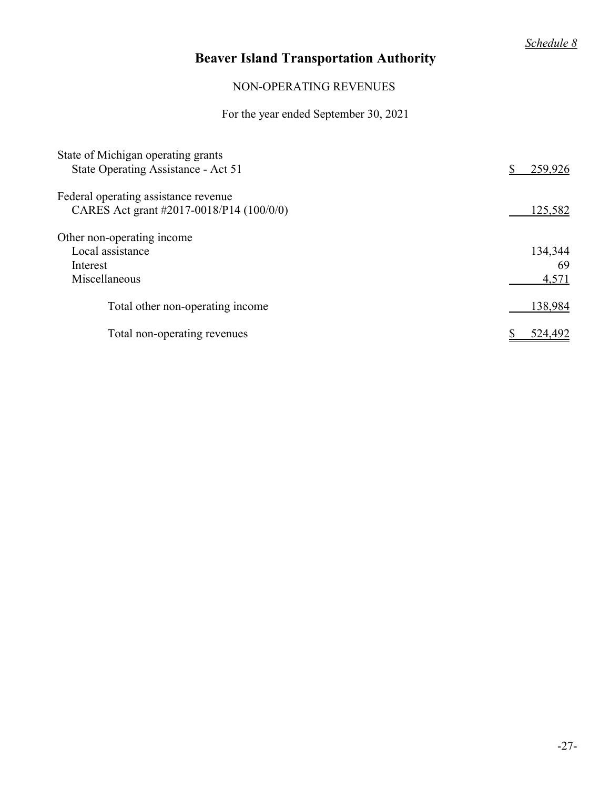*Schedule 8*

# **Beaver Island Transportation Authority**

# NON-OPERATING REVENUES

| State of Michigan operating grants<br>State Operating Assistance - Act 51 | 259,926 |
|---------------------------------------------------------------------------|---------|
|                                                                           |         |
| Federal operating assistance revenue                                      |         |
| CARES Act grant #2017-0018/P14 (100/0/0)                                  | 125,582 |
| Other non-operating income                                                |         |
| Local assistance                                                          | 134,344 |
| Interest                                                                  | 69      |
| Miscellaneous                                                             | 4,571   |
| Total other non-operating income                                          | 138,984 |
| Total non-operating revenues                                              | 524,492 |